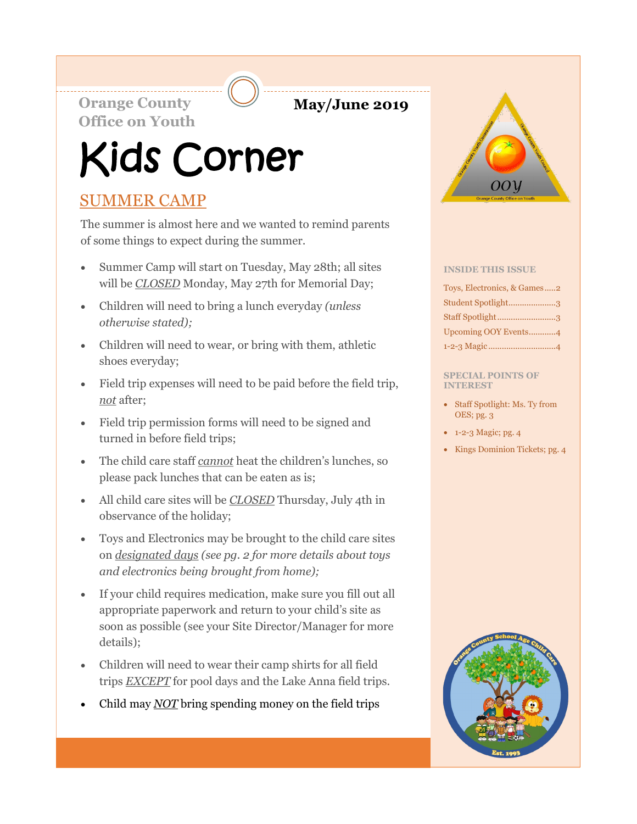**Orange County May/June 2019 Office on Youth**

# Kids Corner

# SUMMER CAMP

The summer is almost here and we wanted to remind parents of some things to expect during the summer.

- Summer Camp will start on Tuesday, May 28th; all sites will be *CLOSED* Monday, May 27th for Memorial Day;
- Children will need to bring a lunch everyday *(unless otherwise stated);*
- Children will need to wear, or bring with them, athletic shoes everyday;
- Field trip expenses will need to be paid before the field trip, *not* after;
- Field trip permission forms will need to be signed and turned in before field trips;
- The child care staff *cannot* heat the children's lunches, so please pack lunches that can be eaten as is;
- All child care sites will be *CLOSED* Thursday, July 4th in observance of the holiday;
- Toys and Electronics may be brought to the child care sites on *designated days (see pg. 2 for more details about toys and electronics being brought from home);*
- If your child requires medication, make sure you fill out all appropriate paperwork and return to your child's site as soon as possible (see your Site Director/Manager for more details);
- Children will need to wear their camp shirts for all field trips *EXCEPT* for pool days and the Lake Anna field trips.
- Child may *NOT* bring spending money on the field trips



#### **INSIDE THIS ISSUE**

| Toys, Electronics, & Games2 |
|-----------------------------|
| Student Spotlight3          |
| Staff Spotlight3            |
| Upcoming OOY Events4        |
|                             |

#### **SPECIAL POINTS OF INTEREST**

- Staff Spotlight: Ms. Ty from OES; pg. 3
- 1-2-3 Magic; pg. 4
- Kings Dominion Tickets; pg. 4

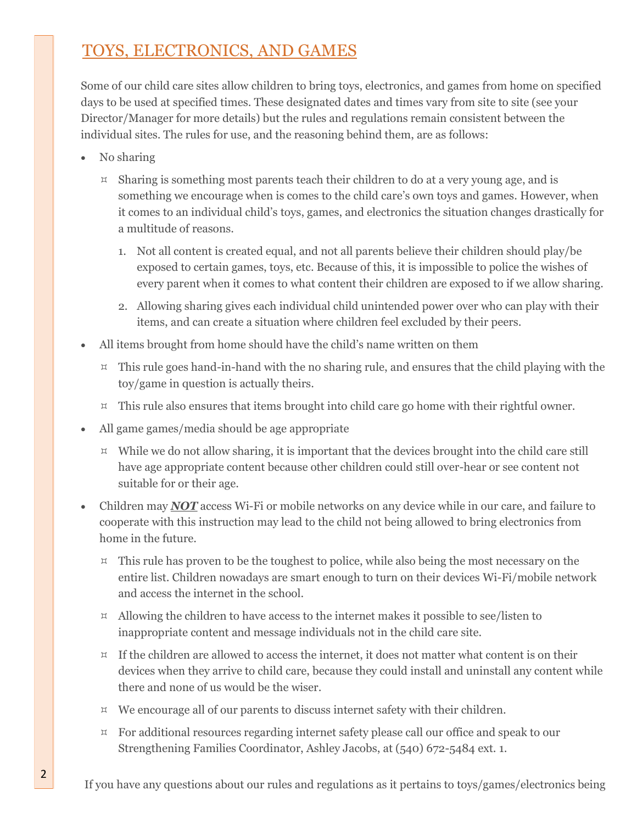# TOYS, ELECTRONICS, AND GAMES

Some of our child care sites allow children to bring toys, electronics, and games from home on specified days to be used at specified times. These designated dates and times vary from site to site (see your Director/Manager for more details) but the rules and regulations remain consistent between the individual sites. The rules for use, and the reasoning behind them, are as follows:

- No sharing
	- $\mu$  Sharing is something most parents teach their children to do at a very young age, and is something we encourage when is comes to the child care's own toys and games. However, when it comes to an individual child's toys, games, and electronics the situation changes drastically for a multitude of reasons.
		- 1. Not all content is created equal, and not all parents believe their children should play/be exposed to certain games, toys, etc. Because of this, it is impossible to police the wishes of every parent when it comes to what content their children are exposed to if we allow sharing.
		- 2. Allowing sharing gives each individual child unintended power over who can play with their items, and can create a situation where children feel excluded by their peers.
- All items brought from home should have the child's name written on them
	- $\mu$  This rule goes hand-in-hand with the no sharing rule, and ensures that the child playing with the toy/game in question is actually theirs.
	- $\overline{z}$  This rule also ensures that items brought into child care go home with their rightful owner.
- All game games/media should be age appropriate
	- $\upmu$  While we do not allow sharing, it is important that the devices brought into the child care still have age appropriate content because other children could still over-hear or see content not suitable for or their age.
- Children may **NOT** access Wi-Fi or mobile networks on any device while in our care, and failure to cooperate with this instruction may lead to the child not being allowed to bring electronics from home in the future.
	- $\overline{z}$  This rule has proven to be the toughest to police, while also being the most necessary on the entire list. Children nowadays are smart enough to turn on their devices Wi-Fi/mobile network and access the internet in the school.
	- $\mu$  Allowing the children to have access to the internet makes it possible to see/listen to inappropriate content and message individuals not in the child care site.
	- $\upmu$  If the children are allowed to access the internet, it does not matter what content is on their devices when they arrive to child care, because they could install and uninstall any content while there and none of us would be the wiser.
	- $\mu$  We encourage all of our parents to discuss internet safety with their children.
	- $\beta$  For additional resources regarding internet safety please call our office and speak to our Strengthening Families Coordinator, Ashley Jacobs, at (540) 672-5484 ext. 1.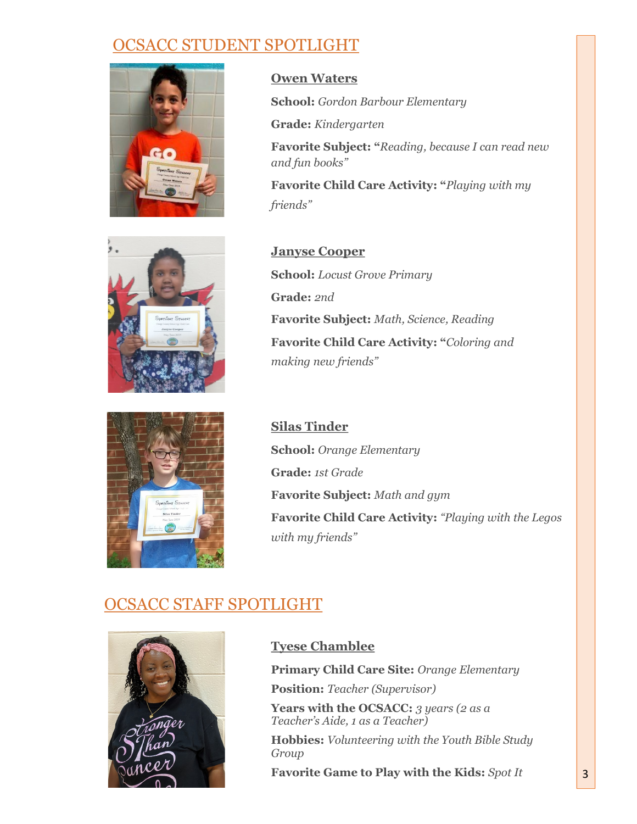## OCSACC STUDENT SPOTLIGHT



**Owen Waters**

**School:** *Gordon Barbour Elementary*

**Grade:** *Kindergarten*

**Favorite Subject: "***Reading, because I can read new and fun books"*

**Favorite Child Care Activity: "***Playing with my friends"*



**Janyse Cooper School:** *Locust Grove Primary* **Grade:** *2nd* **Favorite Subject:** *Math, Science, Reading* **Favorite Child Care Activity: "***Coloring and making new friends"*

**Silas Tinder School:** *Orange Elementary* **Grade:** *1st Grade* **Favorite Subject:** *Math and gym* **Favorite Child Care Activity:** *"Playing with the Legos with my friends"*

## OCSACC STAFF SPOTLIGHT



### **Tyese Chamblee**

**Primary Child Care Site:** *Orange Elementary* **Position:** *Teacher (Supervisor)*

**Years with the OCSACC:** *3 years (2 as a Teacher's Aide, 1 as a Teacher)*

**Hobbies:** *Volunteering with the Youth Bible Study Group*

**Favorite Game to Play with the Kids:** *Spot It*